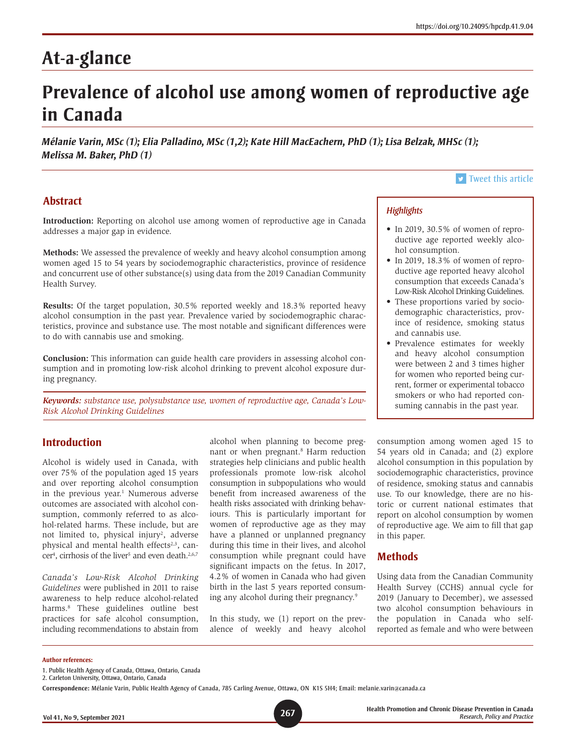# **At-a-glance**

# **Prevalence of alcohol use among women of reproductive age in Canada**

*Mélanie Varin, MSc (1); Elia Palladino, MSc (1,2); Kate Hill MacEachern, PhD (1); Lisa Belzak, MHSc (1); Melissa M. Baker, PhD (1)*

# **Abstract**

**Introduction:** Reporting on alcohol use among women of reproductive age in Canada addresses a major gap in evidence.

**Methods:** We assessed the prevalence of weekly and heavy alcohol consumption among women aged 15 to 54 years by sociodemographic characteristics, province of residence and concurrent use of other substance(s) using data from the 2019 Canadian Community Health Survey.

**Results:** Of the target population, 30.5% reported weekly and 18.3% reported heavy alcohol consumption in the past year. Prevalence varied by sociodemographic characteristics, province and substance use. The most notable and significant differences were to do with cannabis use and smoking.

**Conclusion:** This information can guide health care providers in assessing alcohol consumption and in promoting low-risk alcohol drinking to prevent alcohol exposure during pregnancy.

*Keywords: substance use, polysubstance use, women of reproductive age, Canada's Low-Risk Alcohol Drinking Guidelines*

# **Introduction**

Alcohol is widely used in Canada, with over 75% of the population aged 15 years and over reporting alcohol consumption in the previous year.<sup>1</sup> Numerous adverse outcomes are associated with alcohol consumption, commonly referred to as alcohol-related harms. These include, but are not limited to, physical injury<sup>2</sup>, adverse physical and mental health effects<sup>2,3</sup>, cancer<sup>4</sup>, cirrhosis of the liver<sup>5</sup> and even death.<sup>2,6,7</sup>

*Canada's Low-Risk Alcohol Drinking Guidelines* were published in 2011 to raise awareness to help reduce alcohol-related harms.8 These guidelines outline best practices for safe alcohol consumption, including recommendations to abstain from

alcohol when planning to become pregnant or when pregnant.<sup>8</sup> Harm reduction strategies help clinicians and public health professionals promote low-risk alcohol consumption in subpopulations who would benefit from increased awareness of the health risks associated with drinking behaviours. This is particularly important for women of reproductive age as they may have a planned or unplanned pregnancy during this time in their lives, and alcohol consumption while pregnant could have significant impacts on the fetus. In 2017, 4.2% of women in Canada who had given birth in the last 5 years reported consuming any alcohol during their pregnancy.9

In this study, we (1) report on the prevalence of weekly and heavy alcohol

consumption among women aged 15 to 54 years old in Canada; and (2) explore alcohol consumption in this population by sociodemographic characteristics, province of residence, smoking status and cannabis use. To our knowledge, there are no historic or current national estimates that report on alcohol consumption by women of reproductive age. We aim to fill that gap in this paper.

### **Methods**

*Highlights*

hol consumption.

and cannabis use.

Using data from the Canadian Community Health Survey (CCHS) annual cycle for 2019 (January to December), we assessed two alcohol consumption behaviours in the population in Canada who selfreported as female and who were between

#### **Author references:**

 $\triangleright$  [Tweet this article](http://twitter.com/share?text=%23HPCDP Journal – Prevalence of %23alcoholuse among women of reproductive age in Canada&hashtags=alcohol,pregnancy,PHAC&url=https://doi.org/10.24095/hpcdp.41.9.04)

• In 2019, 30.5% of women of reproductive age reported weekly alco-

• In 2019, 18.3% of women of reproductive age reported heavy alcohol consumption that exceeds Canada's Low-Risk Alcohol Drinking Guidelines. • These proportions varied by sociodemographic characteristics, province of residence, smoking status

• Prevalence estimates for weekly and heavy alcohol consumption were between 2 and 3 times higher for women who reported being current, former or experimental tobacco smokers or who had reported consuming cannabis in the past year.

<sup>1.</sup> Public Health Agency of Canada, Ottawa, Ontario, Canada

<sup>2.</sup> Carleton University, Ottawa, Ontario, Canada

**Correspondence:** Mélanie Varin, Public Health Agency of Canada, 785 Carling Avenue, Ottawa, ON K1S 5H4; Email: melanie.varin@canada.ca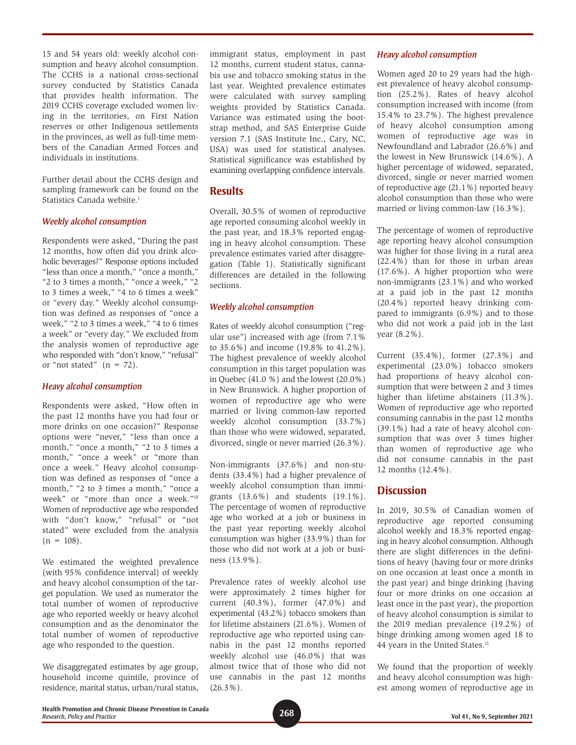15 and 54 years old: weekly alcohol consumption and heavy alcohol consumption. The CCHS is a national cross-sectional survey conducted by Statistics Canada that provides health information. The 2019 CCHS coverage excluded women living in the territories, on First Nation reserves or other Indigenous settlements in the provinces, as well as full-time members of the Canadian Armed Forces and individuals in institutions.

Further detail about the CCHS design and sampling framework can be found on the Statistics Canada website.<sup>1</sup>

#### *Weekly alcohol consumption*

Respondents were asked, "During the past 12 months, how often did you drink alcoholic beverages?" Response options included "less than once a month," "once a month," "2 to 3 times a month," "once a week," "2 to 3 times a week," "4 to 6 times a week" or "every day." Weekly alcohol consumption was defined as responses of "once a week," "2 to 3 times a week," "4 to 6 times a week" or "every day." We excluded from the analysis women of reproductive age who responded with "don't know," "refusal" or "not stated"  $(n = 72)$ .

#### *Heavy alcohol consumption*

Respondents were asked, "How often in the past 12 months have you had four or more drinks on one occasion?" Response options were "never," "less than once a month," "once a month," "2 to 3 times a month," "once a week" or "more than once a week." Heavy alcohol consumption was defined as responses of "once a month," "2 to 3 times a month," "once a week" or "more than once a week."10 Women of reproductive age who responded with "don't know," "refusal" or "not stated" were excluded from the analysis  $(n = 108)$ .

We estimated the weighted prevalence (with 95% confidence interval) of weekly and heavy alcohol consumption of the target population. We used as numerator the total number of women of reproductive age who reported weekly or heavy alcohol consumption and as the denominator the total number of women of reproductive age who responded to the question.

We disaggregated estimates by age group, household income quintile, province of residence, marital status, urban/rural status,

immigrant status, employment in past 12 months, current student status, cannabis use and tobacco smoking status in the last year. Weighted prevalence estimates were calculated with survey sampling weights provided by Statistics Canada. Variance was estimated using the bootstrap method, and SAS Enterprise Guide version 7.1 (SAS Institute Inc., Cary, NC, USA) was used for statistical analyses. Statistical significance was established by examining overlapping confidence intervals.

## **Results**

Overall, 30.5% of women of reproductive age reported consuming alcohol weekly in the past year, and 18.3% reported engaging in heavy alcohol consumption. These prevalence estimates varied after disaggregation (Table 1). Statistically significant differences are detailed in the following sections.

#### *Weekly alcohol consumption*

Rates of weekly alcohol consumption ("regular use") increased with age (from 7.1% to 35.6%) and income (19.8% to 41.2%). The highest prevalence of weekly alcohol consumption in this target population was in Quebec (41.0 %) and the lowest (20.0%) in New Brunswick. A higher proportion of women of reproductive age who were married or living common-law reported weekly alcohol consumption (33.7%) than those who were widowed, separated, divorced, single or never married (26.3%).

Non-immigrants (37.6%) and non-students (33.4%) had a higher prevalence of weekly alcohol consumption than immigrants (13.6%) and students (19.1%). The percentage of women of reproductive age who worked at a job or business in the past year reporting weekly alcohol consumption was higher (33.9%) than for those who did not work at a job or business (13.9%).

Prevalence rates of weekly alcohol use were approximately 2 times higher for current (40.3%), former (47.0%) and experimental (43.2%) tobacco smokers than for lifetime abstainers (21.6%). Women of reproductive age who reported using cannabis in the past 12 months reported weekly alcohol use (46.0%) that was almost twice that of those who did not use cannabis in the past 12 months  $(26.3\%)$ .

#### *Heavy alcohol consumption*

Women aged 20 to 29 years had the highest prevalence of heavy alcohol consumption (25.2%). Rates of heavy alcohol consumption increased with income (from 15.4% to 23.7%). The highest prevalence of heavy alcohol consumption among women of reproductive age was in Newfoundland and Labrador (26.6%) and the lowest in New Brunswick (14.6%). A higher percentage of widowed, separated, divorced, single or never married women of reproductive age (21.1%) reported heavy alcohol consumption than those who were married or living common-law (16.3%).

The percentage of women of reproductive age reporting heavy alcohol consumption was higher for those living in a rural area (22.4%) than for those in urban areas (17.6%). A higher proportion who were non-immigrants (23.1%) and who worked at a paid job in the past 12 months (20.4%) reported heavy drinking compared to immigrants (6.9%) and to those who did not work a paid job in the last year (8.2%).

Current (35.4%), former (27.3%) and experimental (23.0%) tobacco smokers had proportions of heavy alcohol consumption that were between 2 and 3 times higher than lifetime abstainers  $(11.3\%)$ . Women of reproductive age who reported consuming cannabis in the past 12 months (39.1%) had a rate of heavy alcohol consumption that was over 3 times higher than women of reproductive age who did not consume cannabis in the past 12 months (12.4%).

## **Discussion**

In 2019, 30.5% of Canadian women of reproductive age reported consuming alcohol weekly and 18.3% reported engaging in heavy alcohol consumption. Although there are slight differences in the definitions of heavy (having four or more drinks on one occasion at least once a month in the past year) and binge drinking (having four or more drinks on one occasion at least once in the past year), the proportion of heavy alcohol consumption is similar to the 2019 median prevalence (19.2%) of binge drinking among women aged 18 to 44 years in the United States.<sup>11</sup>

We found that the proportion of weekly and heavy alcohol consumption was highest among women of reproductive age in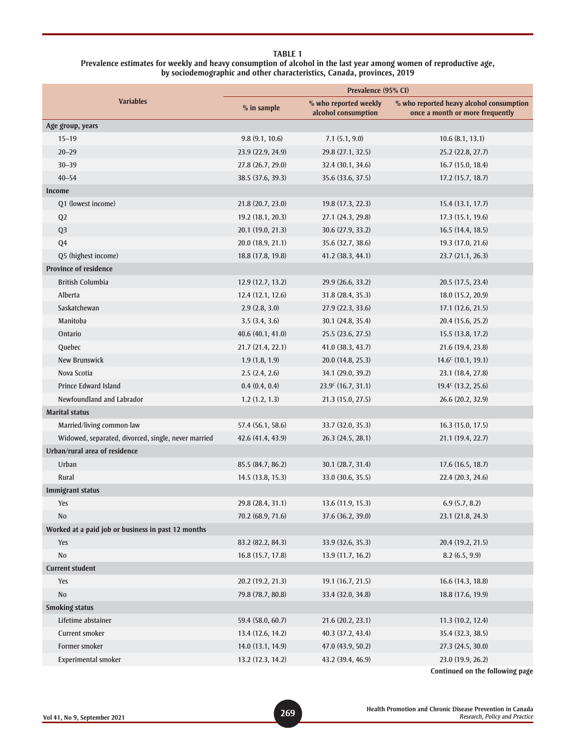#### **TABLE 1 Prevalence estimates for weekly and heavy consumption of alcohol in the last year among women of reproductive age, by sociodemographic and other characteristics, Canada, provinces, 2019**

| <b>Variables</b>                                    | Prevalence (95% CI) |                                              |                                                                             |
|-----------------------------------------------------|---------------------|----------------------------------------------|-----------------------------------------------------------------------------|
|                                                     | $%$ in sample       | % who reported weekly<br>alcohol consumption | % who reported heavy alcohol consumption<br>once a month or more frequently |
| Age group, years                                    |                     |                                              |                                                                             |
| $15 - 19$                                           | 9.8(9.1, 10.6)      | 7.1(5.1, 9.0)                                | 10.6(8.1, 13.1)                                                             |
| $20 - 29$                                           | 23.9 (22.9, 24.9)   | 29.8 (27.1, 32.5)                            | 25.2 (22.8, 27.7)                                                           |
| $30 - 39$                                           | 27.8 (26.7, 29.0)   | 32.4 (30.1, 34.6)                            | 16.7(15.0, 18.4)                                                            |
| $40 - 54$                                           | 38.5 (37.6, 39.3)   | 35.6 (33.6, 37.5)                            | 17.2 (15.7, 18.7)                                                           |
| <b>Income</b>                                       |                     |                                              |                                                                             |
| Q1 (lowest income)                                  | 21.8 (20.7, 23.0)   | 19.8 (17.3, 22.3)                            | 15.4 (13.1, 17.7)                                                           |
| Q <sub>2</sub>                                      | 19.2 (18.1, 20.3)   | 27.1 (24.3, 29.8)                            | 17.3 (15.1, 19.6)                                                           |
| Q <sub>3</sub>                                      | 20.1 (19.0, 21.3)   | 30.6 (27.9, 33.2)                            | 16.5(14.4, 18.5)                                                            |
| Q <sub>4</sub>                                      | 20.0 (18.9, 21.1)   | 35.6 (32.7, 38.6)                            | 19.3(17.0, 21.6)                                                            |
| Q5 (highest income)                                 | 18.8(17.8, 19.8)    | 41.2(38.3, 44.1)                             | 23.7(21.1, 26.3)                                                            |
| <b>Province of residence</b>                        |                     |                                              |                                                                             |
| <b>British Columbia</b>                             | 12.9 (12.7, 13.2)   | 29.9 (26.6, 33.2)                            | 20.5 (17.5, 23.4)                                                           |
| Alberta                                             | 12.4(12.1, 12.6)    | 31.8 (28.4, 35.3)                            | 18.0 (15.2, 20.9)                                                           |
| Saskatchewan                                        | 2.9(2.8, 3.0)       | 27.9 (22.3, 33.6)                            | 17.1 (12.6, 21.5)                                                           |
| Manitoba                                            | 3.5(3.4, 3.6)       | 30.1 (24.8, 35.4)                            | 20.4 (15.6, 25.2)                                                           |
| Ontario                                             | 40.6 (40.1, 41.0)   | 25.5 (23.6, 27.5)                            | 15.5 (13.8, 17.2)                                                           |
| Quebec                                              | 21.7 (21.4, 22.1)   | 41.0 (38.3, 43.7)                            | 21.6 (19.4, 23.8)                                                           |
| New Brunswick                                       | 1.9(1.8, 1.9)       | 20.0(14.8, 25.3)                             | $14.6^c$ (10.1, 19.1)                                                       |
| Nova Scotia                                         | 2.5(2.4, 2.6)       | 34.1 (29.0, 39.2)                            | 23.1 (18.4, 27.8)                                                           |
| <b>Prince Edward Island</b>                         | 0.4(0.4, 0.4)       | $23.9^c$ (16.7, 31.1)                        | 19.4 <sup>c</sup> (13.2, 25.6)                                              |
| Newfoundland and Labrador                           | 1.2(1.2, 1.3)       | 21.3 (15.0, 27.5)                            | 26.6 (20.2, 32.9)                                                           |
| <b>Marital status</b>                               |                     |                                              |                                                                             |
| Married/living common-law                           | 57.4 (56.1, 58.6)   | 33.7 (32.0, 35.3)                            | 16.3(15.0, 17.5)                                                            |
| Widowed, separated, divorced, single, never married | 42.6 (41.4, 43.9)   | 26.3(24.5, 28.1)                             | 21.1(19.4, 22.7)                                                            |
| Urban/rural area of residence                       |                     |                                              |                                                                             |
| Urban                                               | 85.5 (84.7, 86.2)   | 30.1 (28.7, 31.4)                            | 17.6(16.5, 18.7)                                                            |
| Rural                                               | 14.5 (13.8, 15.3)   | 33.0 (30.6, 35.5)                            | 22.4 (20.3, 24.6)                                                           |
| Immigrant status                                    |                     |                                              |                                                                             |
| Yes                                                 | 29.8 (28.4, 31.1)   | 13.6 (11.9, 15.3)                            | 6.9(5.7, 8.2)                                                               |
| No                                                  | 70.2 (68.9, 71.6)   | 37.6 (36.2, 39.0)                            | 23.1 (21.8, 24.3)                                                           |
| Worked at a paid job or business in past 12 months  |                     |                                              |                                                                             |
| Yes                                                 | 83.2 (82.2, 84.3)   | 33.9 (32.6, 35.3)                            | 20.4 (19.2, 21.5)                                                           |
| $\rm No$                                            | 16.8 (15.7, 17.8)   | 13.9 (11.7, 16.2)                            | 8.2(6.5, 9.9)                                                               |
| <b>Current student</b>                              |                     |                                              |                                                                             |
| Yes                                                 | 20.2 (19.2, 21.3)   | 19.1(16.7, 21.5)                             | 16.6 (14.3, 18.8)                                                           |
| No                                                  | 79.8 (78.7, 80.8)   | 33.4 (32.0, 34.8)                            | 18.8 (17.6, 19.9)                                                           |
| <b>Smoking status</b>                               |                     |                                              |                                                                             |
| Lifetime abstainer                                  | 59.4 (58.0, 60.7)   | 21.6 (20.2, 23.1)                            | 11.3 (10.2, 12.4)                                                           |
| Current smoker                                      | 13.4 (12.6, 14.2)   | 40.3 (37.2, 43.4)                            | 35.4 (32.3, 38.5)                                                           |
| Former smoker                                       | 14.0 (13.1, 14.9)   | 47.0 (43.9, 50.2)                            | 27.3 (24.5, 30.0)                                                           |
| Experimental smoker                                 | 13.2 (12.3, 14.2)   | 43.2 (39.4, 46.9)                            | 23.0 (19.9, 26.2)                                                           |
|                                                     |                     |                                              |                                                                             |

**Continued on the following page**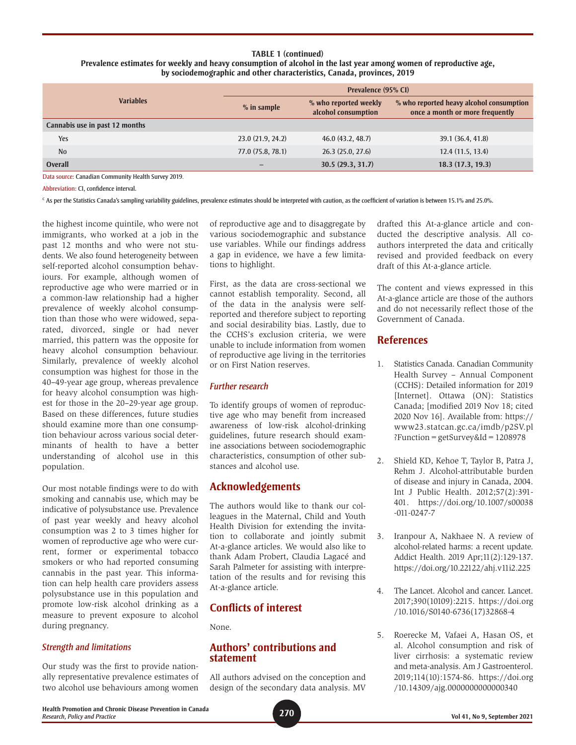#### **TABLE 1 (continued) Prevalence estimates for weekly and heavy consumption of alcohol in the last year among women of reproductive age, by sociodemographic and other characteristics, Canada, provinces, 2019**

| <b>Variables</b>               |                   | Prevalence (95% CI)                          |                                                                             |  |
|--------------------------------|-------------------|----------------------------------------------|-----------------------------------------------------------------------------|--|
|                                | $%$ in sample     | % who reported weekly<br>alcohol consumption | % who reported heavy alcohol consumption<br>once a month or more frequently |  |
| Cannabis use in past 12 months |                   |                                              |                                                                             |  |
| Yes                            | 23.0 (21.9, 24.2) | 46.0(43.2, 48.7)                             | 39.1 (36.4, 41.8)                                                           |  |
| N <sub>0</sub>                 | 77.0 (75.8, 78.1) | 26.3 (25.0, 27.6)                            | 12.4(11.5, 13.4)                                                            |  |
| <b>Overall</b>                 |                   | 30.5(29.3, 31.7)                             | 18.3(17.3, 19.3)                                                            |  |

Data source: Canadian Community Health Survey 2019.

Abbreviation: CI, confidence interval.

 $c$  As per the Statistics Canada's sampling variability guidelines, prevalence estimates should be interpreted with caution, as the coefficient of variation is between 15.1% and 25.0%.

the highest income quintile, who were not immigrants, who worked at a job in the past 12 months and who were not students. We also found heterogeneity between self-reported alcohol consumption behaviours. For example, although women of reproductive age who were married or in a common-law relationship had a higher prevalence of weekly alcohol consumption than those who were widowed, separated, divorced, single or had never married, this pattern was the opposite for heavy alcohol consumption behaviour. Similarly, prevalence of weekly alcohol consumption was highest for those in the 40–49-year age group, whereas prevalence for heavy alcohol consumption was highest for those in the 20–29-year age group. Based on these differences, future studies should examine more than one consumption behaviour across various social determinants of health to have a better understanding of alcohol use in this population.

Our most notable findings were to do with smoking and cannabis use, which may be indicative of polysubstance use. Prevalence of past year weekly and heavy alcohol consumption was 2 to 3 times higher for women of reproductive age who were current, former or experimental tobacco smokers or who had reported consuming cannabis in the past year. This information can help health care providers assess polysubstance use in this population and promote low-risk alcohol drinking as a measure to prevent exposure to alcohol during pregnancy.

#### *Strength and limitations*

Our study was the first to provide nationally representative prevalence estimates of two alcohol use behaviours among women of reproductive age and to disaggregate by various sociodemographic and substance use variables. While our findings address a gap in evidence, we have a few limitations to highlight.

First, as the data are cross-sectional we cannot establish temporality. Second, all of the data in the analysis were selfreported and therefore subject to reporting and social desirability bias. Lastly, due to the CCHS's exclusion criteria, we were unable to include information from women of reproductive age living in the territories or on First Nation reserves.

#### *Further research*

To identify groups of women of reproductive age who may benefit from increased awareness of low-risk alcohol-drinking guidelines, future research should examine associations between sociodemographic characteristics, consumption of other substances and alcohol use.

# **Acknowledgements**

The authors would like to thank our colleagues in the Maternal, Child and Youth Health Division for extending the invitation to collaborate and jointly submit At-a-glance articles. We would also like to thank Adam Probert, Claudia Lagacé and Sarah Palmeter for assisting with interpretation of the results and for revising this At-a-glance article.

# **Conflicts of interest**

None.

# **Authors' contributions and statement**

All authors advised on the conception and design of the secondary data analysis. MV drafted this At-a-glance article and conducted the descriptive analysis. All coauthors interpreted the data and critically revised and provided feedback on every draft of this At-a-glance article.

The content and views expressed in this At-a-glance article are those of the authors and do not necessarily reflect those of the Government of Canada.

# **References**

- 1. Statistics Canada. Canadian Community Health Survey – Annual Component (CCHS): Detailed information for 2019 [Internet]. Ottawa (ON): Statistics Canada; [modified 2019 Nov 18; cited 2020 Nov 16]. Available from: [https://](https://www23.statcan.gc.ca/imdb/p2SV.pl?Function=getSurvey&Id=1208978) [www23.statcan.gc.ca/imdb/p2SV.pl](https://www23.statcan.gc.ca/imdb/p2SV.pl?Function=getSurvey&Id=1208978) [?Function=getSurvey&Id=1208978](https://www23.statcan.gc.ca/imdb/p2SV.pl?Function=getSurvey&Id=1208978)
- 2. Shield KD, Kehoe T, Taylor B, Patra J, Rehm J. Alcohol-attributable burden of disease and injury in Canada, 2004. Int J Public Health. 2012;57(2):391-401. [https://doi.org/10.1007/s00038](https://doi.org/10.1007/s00038-011-0247-7) [-011-0247-7](https://doi.org/10.1007/s00038-011-0247-7)
- 3. Iranpour A, Nakhaee N. A review of alcohol-related harms: a recent update. Addict Health. 2019 Apr;11(2):129-137. <https://doi.org/10.22122/ahj.v11i2.225>
- 4. The Lancet. Alcohol and cancer. Lancet. 2017;390(10109):2215. [https://doi.org](https://doi.org/10.1016/S0140-6736(17)32868-4) [/10.1016/S0140-6736\(17\)32868-4](https://doi.org/10.1016/S0140-6736(17)32868-4)
- 5. Roerecke M, Vafaei A, Hasan OS, et al. Alcohol consumption and risk of liver cirrhosis: a systematic review and meta-analysis. Am J Gastroenterol. 2019;114(10):1574-86. [https://doi.org](https://doi.org/10.14309/ajg.0000000000000340) [/10.14309/ajg.0000000000000340](https://doi.org/10.14309/ajg.0000000000000340)